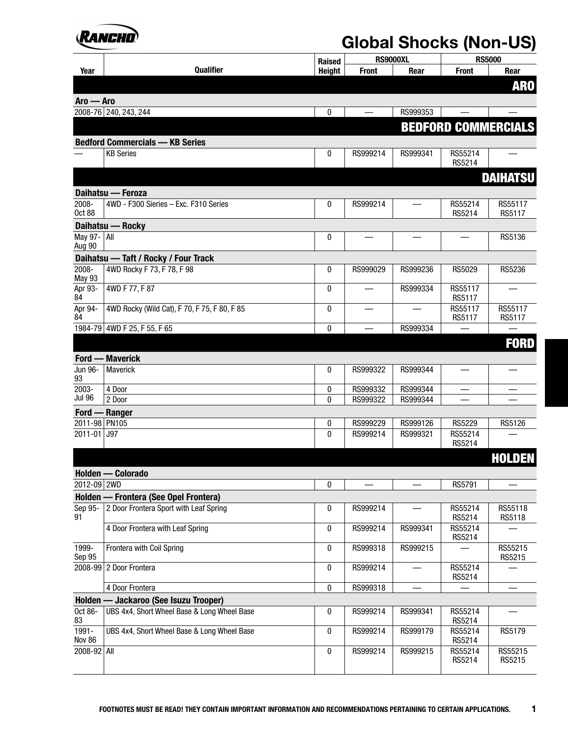

|                           |                                              | Raised            | <b>RS9000XL</b>      |                      | <b>RS5000</b>              |                   |
|---------------------------|----------------------------------------------|-------------------|----------------------|----------------------|----------------------------|-------------------|
| Year                      | Qualifier                                    | <b>Height</b>     | <b>Front</b>         | Rear                 | <b>Front</b>               | Rear              |
|                           |                                              |                   |                      |                      |                            | <b>ARO</b>        |
| $A$ ro — Aro              |                                              |                   |                      |                      |                            |                   |
|                           | 2008-76 240, 243, 244                        | 0                 |                      | RS999353             |                            |                   |
|                           |                                              |                   |                      |                      | <b>BEDFORD COMMERCIALS</b> |                   |
|                           | <b>Bedford Commercials - KB Series</b>       |                   |                      |                      |                            |                   |
|                           | <b>KB Series</b>                             | 0                 | RS999214             | RS999341             | RS55214<br>RS5214          |                   |
|                           |                                              |                   |                      |                      |                            | <b>DAIHATSU</b>   |
|                           | Daihatsu — Feroza                            |                   |                      |                      |                            |                   |
| $2008 -$<br><b>Oct 88</b> | 4WD - F300 Sieries - Exc. F310 Series        | $\mathbf{0}$      | RS999214             |                      | RS55214<br>RS5214          | RS55117<br>RS5117 |
|                           | Daihatsu - Rocky                             |                   |                      |                      |                            |                   |
| May 97-   All<br>Aug 90   |                                              | 0                 |                      |                      |                            | RS5136            |
|                           | Daihatsu - Taft / Rocky / Four Track         |                   |                      |                      |                            |                   |
| 2008-<br><b>May 93</b>    | 4WD Rocky F 73, F 78, F 98                   | $\pmb{0}$         | RS999029             | RS999236             | RS5029                     | RS5236            |
| Apr 93-<br>84             | 4WD F 77, F 87                               | $\mathbf{0}$      |                      | RS999334             | RS55117<br>RS5117          |                   |
| Apr 94-<br>84             | 4WD Rocky (Wild Cat), F 70, F 75, F 80, F 85 | 0                 |                      |                      | RS55117<br>RS5117          | RS55117<br>RS5117 |
|                           | 1984-79 4WD F 25, F 55, F 65                 | $\bf{0}$          |                      | RS999334             |                            |                   |
|                           |                                              |                   |                      |                      |                            | <b>FORD</b>       |
|                           | <b>Ford — Maverick</b>                       |                   |                      |                      |                            |                   |
| Jun 96-<br>93             | Maverick                                     | $\mathbf{0}$      | RS999322             | RS999344             |                            |                   |
| 2003-                     | 4 Door                                       | 0                 | RS999332             | RS999344             |                            |                   |
| Jul 96                    | 2 Door                                       | $\mathbf{0}$      | RS999322             | RS999344             |                            |                   |
|                           | Ford - Ranger                                |                   |                      |                      |                            |                   |
| 2011-98 PN105<br>2011-01  | J97                                          | 0<br>$\mathbf{0}$ | RS999229<br>RS999214 | RS999126<br>RS999321 | <b>RS5229</b><br>RS55214   | RS5126            |
|                           |                                              |                   |                      |                      | RS5214                     |                   |
|                           |                                              |                   |                      |                      |                            | <b>HOLDEN</b>     |
|                           | Holden — Colorado                            |                   |                      |                      |                            |                   |
| 2012-09 2WD               |                                              | 0                 |                      |                      | RS5791                     |                   |
|                           | Holden - Frontera (See Opel Frontera)        |                   |                      |                      |                            |                   |
| Sep 95-<br>91             | 2 Door Frontera Sport with Leaf Spring       | 0                 | RS999214             |                      | RS55214<br>RS5214          | RS55118<br>RS5118 |
|                           | 4 Door Frontera with Leaf Spring             | 0                 | RS999214             | RS999341             | RS55214<br>RS5214          |                   |
| 1999-<br>Sep 95           | Frontera with Coil Spring                    | $\pmb{0}$         | RS999318             | RS999215             |                            | RS55215<br>RS5215 |
|                           | 2008-99 2 Door Frontera                      | 0                 | RS999214             |                      | RS55214<br>RS5214          |                   |
|                           | 4 Door Frontera                              | 0                 | RS999318             |                      |                            |                   |
|                           | Holden - Jackaroo (See Isuzu Trooper)        |                   |                      |                      |                            |                   |
| Oct 86-<br>83             | UBS 4x4, Short Wheel Base & Long Wheel Base  | 0                 | RS999214             | RS999341             | RS55214<br>RS5214          |                   |
| 1991-<br>Nov 86           | UBS 4x4, Short Wheel Base & Long Wheel Base  | $\pmb{0}$         | RS999214             | RS999179             | RS55214<br>RS5214          | RS5179            |
| 2008-92 All               |                                              | $\pmb{0}$         | RS999214             | RS999215             | RS55214<br>RS5214          | RS55215<br>RS5215 |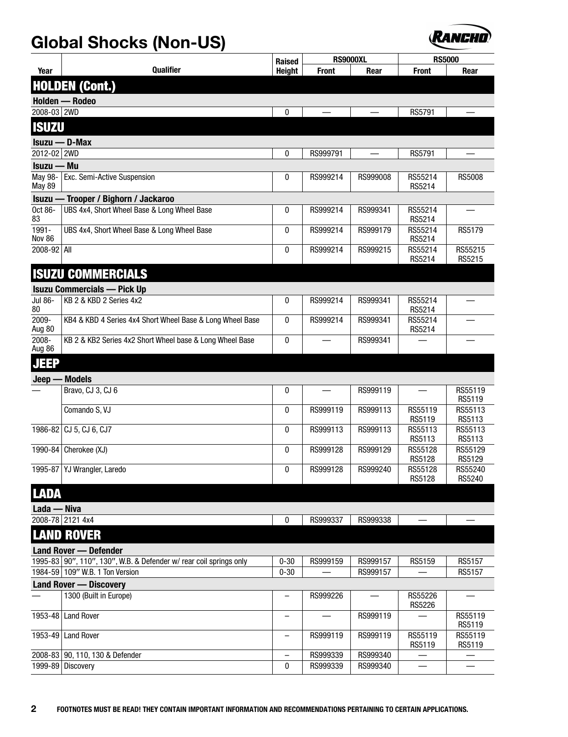

|                          |                                                                    | <b>Raised</b>            | <b>RS9000XL</b> |          | <b>RS5000</b>     |                   |
|--------------------------|--------------------------------------------------------------------|--------------------------|-----------------|----------|-------------------|-------------------|
| Year                     | <b>Qualifier</b>                                                   | <b>Height</b>            | <b>Front</b>    | Rear     | <b>Front</b>      | Rear              |
|                          | <b>HOLDEN (Cont.)</b>                                              |                          |                 |          |                   |                   |
|                          | Holden - Rodeo                                                     |                          |                 |          |                   |                   |
| 2008-03 2WD              |                                                                    | 0                        |                 |          | RS5791            |                   |
| <b>ISUZU</b>             |                                                                    |                          |                 |          |                   |                   |
|                          | $Isuzu - D-Max$                                                    |                          |                 |          |                   |                   |
| 2012-02 2WD              |                                                                    | 0                        | RS999791        |          | <b>RS5791</b>     |                   |
| Isuzu — Mu               |                                                                    |                          |                 |          |                   |                   |
| May 98-<br><b>May 89</b> | Exc. Semi-Active Suspension                                        | 0                        | RS999214        | RS999008 | RS55214<br>RS5214 | <b>RS5008</b>     |
| - Isuzu                  | Trooper / Bighorn / Jackaroo                                       |                          |                 |          |                   |                   |
| Oct 86-<br>83            | UBS 4x4, Short Wheel Base & Long Wheel Base                        | 0                        | RS999214        | RS999341 | RS55214<br>RS5214 |                   |
| 1991-<br>Nov 86          | UBS 4x4, Short Wheel Base & Long Wheel Base                        |                          | RS999214        | RS999179 | RS55214<br>RS5214 | RS5179            |
| 2008-92 All              |                                                                    | 0                        | RS999214        | RS999215 | RS55214<br>RS5214 | RS55215<br>RS5215 |
|                          | <b>ISUZU COMMERCIALS</b>                                           |                          |                 |          |                   |                   |
|                          | <b>Isuzu Commercials — Pick Up</b>                                 |                          |                 |          |                   |                   |
| Jul 86-<br>80            | KB 2 & KBD 2 Series 4x2                                            | 0                        | RS999214        | RS999341 | RS55214<br>RS5214 |                   |
| 2009-<br>Aug 80          | KB4 & KBD 4 Series 4x4 Short Wheel Base & Long Wheel Base          | $\mathbf{0}$             | RS999214        | RS999341 | RS55214<br>RS5214 |                   |
| 2008-<br>Aug 86          | KB 2 & KB2 Series 4x2 Short Wheel base & Long Wheel Base           |                          |                 | RS999341 |                   |                   |
| <b>JEEP</b>              |                                                                    |                          |                 |          |                   |                   |
| Jeep-                    | <b>Models</b>                                                      |                          |                 |          |                   |                   |
|                          | Bravo, CJ 3, CJ 6                                                  | $\mathbf{0}$             |                 | RS999119 |                   | RS55119<br>RS5119 |
|                          | Comando S, VJ                                                      | $\mathbf{0}$             | RS999119        | RS999113 | RS55119<br>RS5119 | RS55113<br>RS5113 |
|                          | 1986-82 CJ 5, CJ 6, CJ7                                            | $\mathbf{0}$             | RS999113        | RS999113 | RS55113<br>RS5113 | RS55113<br>RS5113 |
| 1990-84                  | Cherokee (XJ)                                                      | 0                        | RS999128        | RS999129 | RS55128<br>RS5128 | RS55129<br>RS5129 |
|                          | 1995-87   YJ Wrangler, Laredo                                      | 0                        | RS999128        | RS999240 | RS55128<br>RS5128 | RS55240<br>RS5240 |
| <b>LADA</b>              |                                                                    |                          |                 |          |                   |                   |
| Lada — Niva              |                                                                    |                          |                 |          |                   |                   |
|                          | 2008-78 2121 4x4                                                   | 0                        | RS999337        | RS999338 |                   |                   |
|                          | <b>LAND ROVER</b>                                                  |                          |                 |          |                   |                   |
|                          | <b>Land Rover - Defender</b>                                       |                          |                 |          |                   |                   |
|                          | 1995-83 90", 110", 130", W.B. & Defender w/ rear coil springs only | $0 - 30$                 | RS999159        | RS999157 | RS5159            | RS5157            |
|                          | 1984-59 109" W.B. 1 Ton Version                                    | $0 - 30$                 |                 | RS999157 |                   | RS5157            |
|                          | <b>Land Rover - Discovery</b>                                      |                          |                 |          |                   |                   |
|                          | 1300 (Built in Europe)                                             | $\overline{\phantom{0}}$ | RS999226        |          | RS55226<br>RS5226 |                   |
|                          | 1953-48 Land Rover                                                 | $\qquad \qquad -$        |                 | RS999119 |                   | RS55119<br>RS5119 |
|                          | 1953-49 Land Rover                                                 | $\qquad \qquad -$        | RS999119        | RS999119 | RS55119<br>RS5119 | RS55119<br>RS5119 |
|                          | 2008-83 90, 110, 130 & Defender                                    |                          | RS999339        | RS999340 |                   |                   |
|                          | 1999-89 Discovery                                                  | 0                        | RS999339        | RS999340 |                   |                   |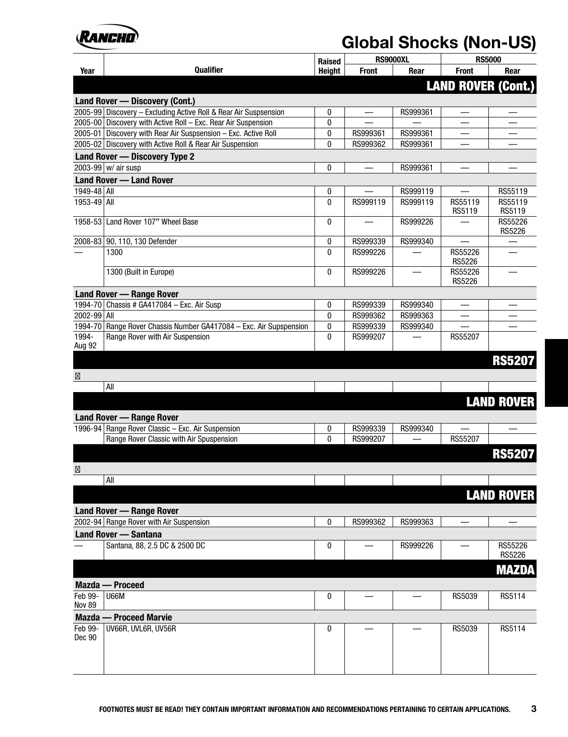

|                 |                                                                    | <b>Raised</b> |              | RS9000XL | <b>RS5000</b>             |                   |
|-----------------|--------------------------------------------------------------------|---------------|--------------|----------|---------------------------|-------------------|
| Year            | Qualifier                                                          | <b>Height</b> | <b>Front</b> | Rear     | <b>Front</b>              | Rear              |
|                 |                                                                    |               |              |          | <b>LAND ROVER (Cont.)</b> |                   |
|                 | Land Rover - Discovery (Cont.)                                     |               |              |          |                           |                   |
|                 | 2005-99 Discovery - Excluding Active Roll & Rear Air Suspsension   | $\mathbf{0}$  |              | RS999361 |                           |                   |
|                 | 2005-00 Discovery with Active Roll - Exc. Rear Air Suspension      | 0             |              |          |                           |                   |
|                 | 2005-01 Discovery with Rear Air Suspsension - Exc. Active Roll     | 0             | RS999361     | RS999361 |                           |                   |
|                 | 2005-02 Discovery with Active Roll & Rear Air Suspension           | $\mathbf{0}$  | RS999362     | RS999361 |                           |                   |
|                 | Land Rover - Discovery Type 2                                      |               |              |          |                           |                   |
|                 | 2003-99 $w$ air susp                                               | 0             |              | RS999361 |                           |                   |
|                 | <b>Land Rover - Land Rover</b>                                     |               |              |          |                           |                   |
| 1949-48 All     |                                                                    | 0             |              | RS999119 |                           | RS55119           |
| 1953-49 All     |                                                                    | $\mathbf{0}$  | RS999119     | RS999119 | RS55119                   | RS55119           |
|                 |                                                                    |               |              |          | RS5119                    | RS5119            |
| 1958-53         | Land Rover 107" Wheel Base                                         | 0             |              | RS999226 |                           | RS55226           |
|                 | 2008-83 90, 110, 130 Defender                                      | 0             | RS999339     | RS999340 | $\overline{\phantom{a}}$  | RS5226            |
|                 | 1300                                                               | $\mathbf{0}$  | RS999226     |          | RS55226                   |                   |
|                 |                                                                    |               |              |          | <b>RS5226</b>             |                   |
|                 | 1300 (Built in Europe)                                             | 0             | RS999226     |          | RS55226                   |                   |
|                 |                                                                    |               |              |          | <b>RS5226</b>             |                   |
|                 | <b>Land Rover - Range Rover</b>                                    |               |              |          |                           |                   |
|                 | 1994-70 Chassis # GA417084 - Exc. Air Susp                         | 0             | RS999339     | RS999340 |                           |                   |
| 2002-99 All     |                                                                    | $\mathbf{0}$  | RS999362     | RS999363 |                           |                   |
|                 | 1994-70 Range Rover Chassis Number GA417084 - Exc. Air Supspension | 0             | RS999339     | RS999340 |                           |                   |
| 1994-<br>Aug 92 | Range Rover with Air Suspension                                    | $\mathbf{0}$  | RS999207     |          | RS55207                   |                   |
|                 |                                                                    |               |              |          |                           |                   |
|                 |                                                                    |               |              |          |                           | <b>RS5207</b>     |
|                 |                                                                    |               |              |          |                           |                   |
|                 | All                                                                |               |              |          |                           |                   |
|                 |                                                                    |               |              |          |                           | <b>LAND ROVER</b> |
|                 |                                                                    |               |              |          |                           |                   |
|                 | <b>Land Rover - Range Rover</b>                                    |               |              |          |                           |                   |
|                 | 1996-94 Range Rover Classic - Exc. Air Suspension                  | 0             | RS999339     | RS999340 |                           |                   |
|                 | Range Rover Classic with Air Spuspension                           | $\mathbf{0}$  | RS999207     |          | RS55207                   |                   |
|                 |                                                                    |               |              |          |                           | <b>RS5207</b>     |
|                 |                                                                    |               |              |          |                           |                   |
|                 | $\mathsf{All}$                                                     |               |              |          |                           |                   |
|                 |                                                                    |               |              |          |                           |                   |
|                 |                                                                    |               |              |          |                           | <b>LAND ROVER</b> |
|                 | <b>Land Rover - Range Rover</b>                                    |               |              |          |                           |                   |
|                 | 2002-94 Range Rover with Air Suspension                            | 0             | RS999362     | RS999363 |                           |                   |
|                 | <b>Land Rover - Santana</b>                                        |               |              |          |                           |                   |
|                 | Santana, 88, 2.5 DC & 2500 DC                                      | 0             |              | RS999226 |                           | RS55226           |
|                 |                                                                    |               |              |          |                           | RS5226            |
|                 |                                                                    |               |              |          |                           | <b>MAZDA</b>      |
|                 | Mazda - Proceed                                                    |               |              |          |                           |                   |
| Feb 99-         | <b>U66M</b>                                                        | 0             |              |          | RS5039                    | RS5114            |
| <b>Nov 89</b>   |                                                                    |               |              |          |                           |                   |
|                 | <b>Mazda — Proceed Marvie</b>                                      |               |              |          |                           |                   |
| Feb 99-         | UV66R, UVL6R, UV56R                                                | 0             |              |          | RS5039                    | RS5114            |
| Dec 90          |                                                                    |               |              |          |                           |                   |
|                 |                                                                    |               |              |          |                           |                   |
|                 |                                                                    |               |              |          |                           |                   |
|                 |                                                                    |               |              |          |                           |                   |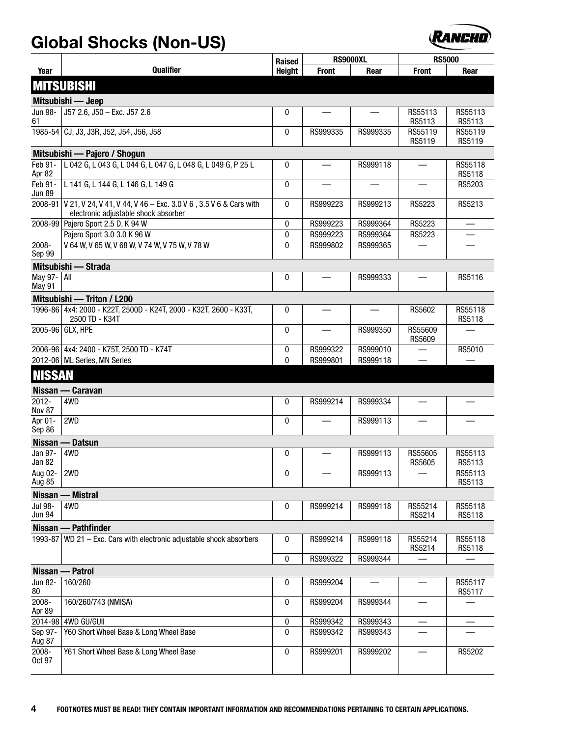

|                                 |                                                                                                                  | <b>Raised</b> | <b>RS9000XL</b> |          | <b>RS5000</b>            |                   |  |  |  |
|---------------------------------|------------------------------------------------------------------------------------------------------------------|---------------|-----------------|----------|--------------------------|-------------------|--|--|--|
| Year                            | <b>Qualifier</b>                                                                                                 | <b>Height</b> | <b>Front</b>    | Rear     | <b>Front</b>             | Rear              |  |  |  |
|                                 | <b>MITSUBISHI</b>                                                                                                |               |                 |          |                          |                   |  |  |  |
|                                 | Mitsubishi — Jeep                                                                                                |               |                 |          |                          |                   |  |  |  |
| Jun 98-<br>61                   | J57 2.6, J50 - Exc. J57 2.6                                                                                      | 0             |                 |          | RS55113<br>RS5113        | RS55113<br>RS5113 |  |  |  |
|                                 | 1985-54 CJ, J3, J3R, J52, J54, J56, J58                                                                          | 0             | RS999335        | RS999335 | RS55119<br>RS5119        | RS55119<br>RS5119 |  |  |  |
|                                 | Mitsubishi — Pajero / Shogun                                                                                     |               |                 |          |                          |                   |  |  |  |
| Feb 91-<br>Apr 82               | L 042 G, L 043 G, L 044 G, L 047 G, L 048 G, L 049 G, P 25 L                                                     | 0             |                 | RS999118 |                          | RS55118<br>RS5118 |  |  |  |
| Feb 91-<br><b>Jun 89</b>        | L 141 G, L 144 G, L 146 G, L 149 G                                                                               | 0             |                 |          | $\overline{\phantom{0}}$ | RS5203            |  |  |  |
|                                 | 2008-91 V 21, V 24, V 41, V 44, V 46 - Exc. 3.0 V 6, 3.5 V 6 & Cars with<br>electronic adjustable shock absorber | 0             | RS999223        | RS999213 | RS5223                   | RS5213            |  |  |  |
| 2008-99                         | Pajero Sport 2.5 D, K 94 W                                                                                       | 0             | RS999223        | RS999364 | RS5223                   |                   |  |  |  |
|                                 | Pajero Sport 3.0 3.0 K 96 W                                                                                      | 0             | RS999223        | RS999364 | RS5223                   |                   |  |  |  |
| $2008 -$<br>Sep 99              | V 64 W, V 65 W, V 68 W, V 74 W, V 75 W, V 78 W                                                                   | 0             | RS999802        | RS999365 |                          |                   |  |  |  |
|                                 | Mitsubishi — Strada                                                                                              |               |                 |          |                          |                   |  |  |  |
| May 97-   All<br>May 91         |                                                                                                                  | 0             |                 | RS999333 |                          | RS5116            |  |  |  |
|                                 | Mitsubishi - Triton / L200                                                                                       |               |                 |          |                          |                   |  |  |  |
|                                 | 1996-86 4x4: 2000 - K22T, 2500D - K24T, 2000 - K32T, 2600 - K33T,<br>2500 TD - K34T                              | 0             |                 |          | RS5602                   | RS55118<br>RS5118 |  |  |  |
|                                 | 2005-96 GLX, HPE                                                                                                 | 0             |                 | RS999350 | RS55609<br>RS5609        |                   |  |  |  |
|                                 | 2006-96   4x4: 2400 - K75T, 2500 TD - K74T                                                                       | 0             | RS999322        | RS999010 |                          | RS5010            |  |  |  |
|                                 | 2012-06 ML Series, MN Series                                                                                     | $\mathbf{0}$  | RS999801        | RS999118 |                          |                   |  |  |  |
| <b>NISSAN</b>                   |                                                                                                                  |               |                 |          |                          |                   |  |  |  |
|                                 | Nissan — Caravan                                                                                                 |               |                 |          |                          |                   |  |  |  |
| $2012 -$<br><b>Nov 87</b>       | 4WD                                                                                                              | 0             | RS999214        | RS999334 |                          |                   |  |  |  |
| Apr 01-<br>Sep 86               | 2WD                                                                                                              | 0             |                 | RS999113 |                          |                   |  |  |  |
|                                 | Nissan - Datsun                                                                                                  |               |                 |          |                          |                   |  |  |  |
| Jan 97-<br>Jan 82               | 4WD                                                                                                              | 0             |                 | RS999113 | RS55605<br><b>RS5605</b> | RS55113<br>RS5113 |  |  |  |
| Aug 02-<br>Aug 85               | 2WD                                                                                                              | 0             |                 | RS999113 |                          | RS55113<br>RS5113 |  |  |  |
|                                 | Nissan - Mistral                                                                                                 |               |                 |          |                          |                   |  |  |  |
| <b>Jul 98-</b><br><b>Jun 94</b> | 4WD                                                                                                              | 0             | RS999214        | RS999118 | RS55214<br>RS5214        | RS55118<br>RS5118 |  |  |  |
|                                 | Nissan - Pathfinder                                                                                              |               |                 |          |                          |                   |  |  |  |
|                                 | 1993-87 WD 21 - Exc. Cars with electronic adjustable shock absorbers                                             | 0             | RS999214        | RS999118 | RS55214<br>RS5214        | RS55118<br>RS5118 |  |  |  |
|                                 |                                                                                                                  | 0             | RS999322        | RS999344 |                          |                   |  |  |  |
| Nissan -                        | - Patrol                                                                                                         |               |                 |          |                          |                   |  |  |  |
| Jun 82-<br>80                   | 160/260                                                                                                          | 0             | RS999204        |          |                          | RS55117<br>RS5117 |  |  |  |
| 2008-<br>Apr 89                 | 160/260/743 (NMISA)                                                                                              | 0             | RS999204        | RS999344 |                          |                   |  |  |  |
| 2014-98                         | 4WD GU/GUII                                                                                                      | 0             | RS999342        | RS999343 |                          |                   |  |  |  |
| Sep 97-<br>Aug 87               | Y60 Short Wheel Base & Long Wheel Base                                                                           | 0             | RS999342        | RS999343 |                          |                   |  |  |  |
| 2008-<br>Oct 97                 | Y61 Short Wheel Base & Long Wheel Base                                                                           | 0             | RS999201        | RS999202 |                          | RS5202            |  |  |  |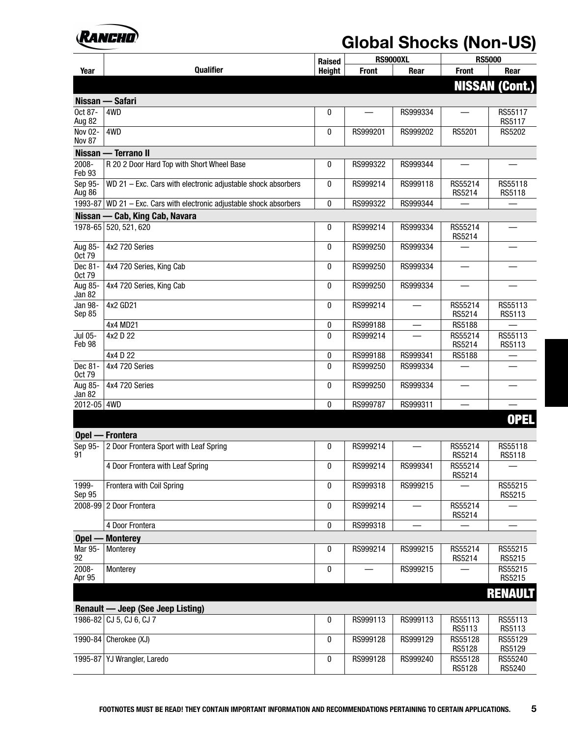

|                          |                                                                      | <b>Raised</b> | <b>RS9000XL</b> |                          |                   | <b>RS5000</b>         |  |
|--------------------------|----------------------------------------------------------------------|---------------|-----------------|--------------------------|-------------------|-----------------------|--|
| Year                     | Qualifier                                                            | <b>Height</b> | <b>Front</b>    | Rear                     | <b>Front</b>      | Rear                  |  |
|                          |                                                                      |               |                 |                          |                   | <b>NISSAN (Cont.)</b> |  |
| Nissan -                 | - Safari                                                             |               |                 |                          |                   |                       |  |
| Oct 87-<br>Aug 82        | 4WD                                                                  | 0             |                 | RS999334                 |                   | RS55117<br>RS5117     |  |
| Nov 02-<br>Nov 87        | 4WD                                                                  | 0             | RS999201        | RS999202                 | RS5201            | RS5202                |  |
|                          | Nissan - Terrano II                                                  |               |                 |                          |                   |                       |  |
| 2008-<br>Feb 93          | R 20 2 Door Hard Top with Short Wheel Base                           | 0             | RS999322        | RS999344                 |                   |                       |  |
| Sep 95-<br>Aug 86        | WD 21 - Exc. Cars with electronic adjustable shock absorbers         | 0             | RS999214        | RS999118                 | RS55214<br>RS5214 | RS55118<br>RS5118     |  |
|                          | 1993-87 WD 21 - Exc. Cars with electronic adjustable shock absorbers | 0             | RS999322        | RS999344                 |                   |                       |  |
|                          | Nissan - Cab, King Cab, Navara                                       |               |                 |                          |                   |                       |  |
| 1978-65                  | 520, 521, 620                                                        | 0             | RS999214        | RS999334                 | RS55214<br>RS5214 |                       |  |
| Aug 85-<br>Oct 79        | 4x2 720 Series                                                       | 0             | RS999250        | RS999334                 |                   |                       |  |
| Dec 81-<br><b>Oct 79</b> | 4x4 720 Series, King Cab                                             | 0             | RS999250        | RS999334                 |                   |                       |  |
| Aug 85-<br>Jan 82        | 4x4 720 Series, King Cab                                             | 0             | RS999250        | RS999334                 |                   |                       |  |
| Jan 98-<br>Sep 85        | 4x2 GD21                                                             | 0             | RS999214        | $\overline{\phantom{m}}$ | RS55214<br>RS5214 | RS55113<br>RS5113     |  |
|                          | 4x4 MD21                                                             | 0             | RS999188        |                          | RS5188            |                       |  |
| Jul 05-<br>Feb 98        | 4x2 D 22                                                             | 0             | RS999214        |                          | RS55214<br>RS5214 | RS55113<br>RS5113     |  |
|                          | 4x4 D 22                                                             | 0             | RS999188        | RS999341                 | RS5188            |                       |  |
| Dec 81-<br>Oct 79        | 4x4 720 Series                                                       | 0             | RS999250        | RS999334                 |                   |                       |  |
| Aug 85-<br>Jan 82        | 4x4 720 Series                                                       | 0             | RS999250        | RS999334                 |                   |                       |  |
| 2012-05 4WD              |                                                                      | 0             | RS999787        | RS999311                 |                   |                       |  |
|                          |                                                                      |               |                 |                          |                   | <b>OPEL</b>           |  |
|                          | Opel - Frontera                                                      |               |                 |                          |                   |                       |  |
| Sep 95-<br>91            | 2 Door Frontera Sport with Leaf Spring                               | 0             | RS999214        |                          | RS55214<br>RS5214 | RS55118<br>RS5118     |  |
|                          | 4 Door Frontera with Leaf Spring                                     | 0             | RS999214        | RS999341                 | RS55214<br>RS5214 |                       |  |
| 1999-<br>Sep 95          | Frontera with Coil Spring                                            | 0             | RS999318        | RS999215                 |                   | RS55215<br>RS5215     |  |
| 2008-99                  | 2 Door Frontera                                                      | 0             | RS999214        |                          | RS55214<br>RS5214 |                       |  |
|                          | 4 Door Frontera                                                      | 0             | RS999318        | —                        |                   |                       |  |
| $Opel -$                 | - Monterey                                                           |               |                 |                          |                   |                       |  |
| Mar 95-<br>92            | Monterey                                                             | 0             | RS999214        | RS999215                 | RS55214<br>RS5214 | RS55215<br>RS5215     |  |
| 2008-<br>Apr 95          | Monterey                                                             | 0             |                 | RS999215                 |                   | RS55215<br>RS5215     |  |
|                          |                                                                      |               |                 |                          |                   | <b>RENAULT</b>        |  |
|                          | <b>Renault — Jeep (See Jeep Listing)</b>                             |               |                 |                          |                   |                       |  |
|                          | 1986-82 CJ 5, CJ 6, CJ 7                                             | 0             | RS999113        | RS999113                 | RS55113<br>RS5113 | RS55113<br>RS5113     |  |
|                          | 1990-84 Cherokee $(XJ)$                                              | 0             | RS999128        | RS999129                 | RS55128<br>RS5128 | RS55129<br>RS5129     |  |
| 1995-87                  | YJ Wrangler, Laredo                                                  | 0             | RS999128        | RS999240                 | RS55128<br>RS5128 | RS55240<br>RS5240     |  |
|                          |                                                                      |               |                 |                          |                   |                       |  |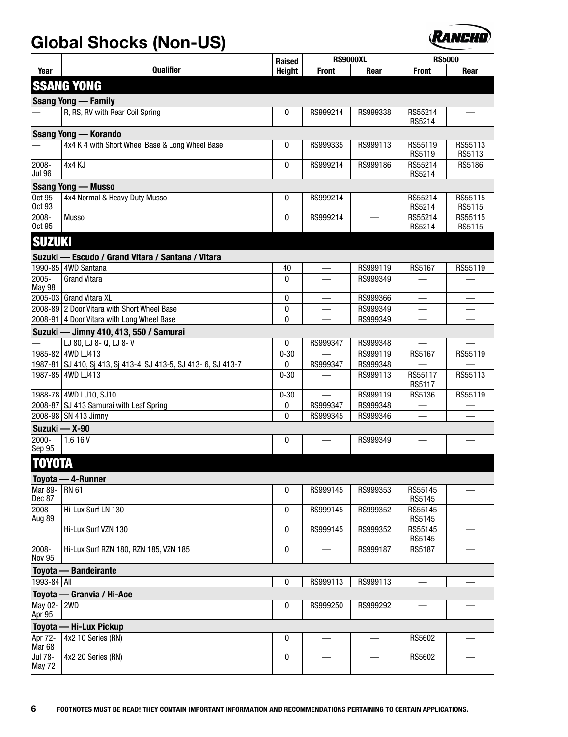

|                              |                                                                | Raised        | <b>RS9000XL</b> |                      | <b>RS5000</b>     |                   |
|------------------------------|----------------------------------------------------------------|---------------|-----------------|----------------------|-------------------|-------------------|
| Year                         | <b>Qualifier</b>                                               | <b>Height</b> | <b>Front</b>    | Rear                 | <b>Front</b>      | Rear              |
|                              | <b>SSANG YONG</b>                                              |               |                 |                      |                   |                   |
|                              | <b>Ssang Yong — Family</b>                                     |               |                 |                      |                   |                   |
|                              | R, RS, RV with Rear Coil Spring                                | 0             | RS999214        | RS999338             | RS55214<br>RS5214 |                   |
|                              | <b>Ssang Yong — Korando</b>                                    |               |                 |                      |                   |                   |
|                              | 4x4 K 4 with Short Wheel Base & Long Wheel Base                | 0             | RS999335        | RS999113             | RS55119<br>RS5119 | RS55113<br>RS5113 |
| 2008-<br><b>Jul 96</b>       | 4x4 KJ                                                         | 0             | RS999214        | RS999186             | RS55214<br>RS5214 | RS5186            |
|                              | <b>Ssang Yong - Musso</b>                                      |               |                 |                      |                   |                   |
| Oct 95-<br>Oct 93            | 4x4 Normal & Heavy Duty Musso                                  | 0             | RS999214        |                      | RS55214<br>RS5214 | RS55115<br>RS5115 |
| 2008-<br>Oct 95              | <b>Musso</b>                                                   | 0             | RS999214        |                      | RS55214<br>RS5214 | RS55115<br>RS5115 |
| <b>SUZUKI</b>                |                                                                |               |                 |                      |                   |                   |
|                              | Suzuki — Escudo / Grand Vitara / Santana / Vitara              |               |                 |                      |                   |                   |
|                              | 1990-85 4WD Santana                                            | 40            |                 | RS999119             | RS5167            | RS55119           |
| 2005-<br><b>May 98</b>       | <b>Grand Vitara</b>                                            | $\mathbf{0}$  |                 | RS999349             |                   |                   |
|                              | 2005-03 Grand Vitara XL                                        | 0             |                 | RS999366             |                   |                   |
|                              | 2008-89 2 Door Vitara with Short Wheel Base                    | 0             |                 | RS999349             |                   |                   |
|                              | 2008-91 4 Door Vitara with Long Wheel Base                     | 0             |                 | RS999349             |                   |                   |
|                              | Suzuki — Jimny 410, 413, 550 / Samurai                         |               |                 |                      |                   |                   |
|                              | LJ 80, LJ 8- Q, LJ 8- V<br>1985-82 4WD LJ413                   | 0             | RS999347        | RS999348<br>RS999119 |                   |                   |
|                              | 1987-81 SJ 410, Sj 413, Sj 413-4, SJ 413-5, SJ 413-6, SJ 413-7 | $0 - 30$<br>0 | RS999347        | RS999348             | RS5167            | RS55119           |
|                              | 1987-85 4WD LJ413                                              | $0 - 30$      |                 | RS999113             | RS55117<br>RS5117 | RS55113           |
|                              | 1988-78 4WD LJ10, SJ10                                         | $0 - 30$      |                 | RS999119             | RS5136            | RS55119           |
|                              | 2008-87 SJ 413 Samurai with Leaf Spring                        | 0             | RS999347        | RS999348             |                   |                   |
|                              | 2008-98 SN 413 Jimny                                           | 0             | RS999345        | RS999346             |                   |                   |
|                              | Suzuki - X-90                                                  |               |                 |                      |                   |                   |
| 2000-<br>Sep 95              | 1.616V                                                         | 0             |                 | RS999349             |                   |                   |
| <b>TOYOTA</b>                |                                                                |               |                 |                      |                   |                   |
|                              | Toyota - 4-Runner                                              |               |                 |                      |                   |                   |
| <b>Mar 89-</b><br>Dec 87     | <b>RN 61</b>                                                   | 0             | RS999145        | RS999353             | RS55145<br>RS5145 |                   |
| 2008-<br>Aug 89              | Hi-Lux Surf LN 130                                             | 0             | RS999145        | RS999352             | RS55145<br>RS5145 |                   |
|                              | Hi-Lux Surf VZN 130                                            | 0             | RS999145        | RS999352             | RS55145<br>RS5145 |                   |
| 2008-<br><b>Nov 95</b>       | Hi-Lux Surf RZN 180, RZN 185, VZN 185                          | 0             |                 | RS999187             | RS5187            |                   |
|                              | <b>Toyota - Bandeirante</b>                                    |               |                 |                      |                   |                   |
| 1993-84 All                  |                                                                | 0             | RS999113        | RS999113             |                   |                   |
|                              | Toyota - Granvia / Hi-Ace                                      |               |                 |                      |                   |                   |
| May 02-<br>Apr 95            | 2WD                                                            | 0             | RS999250        | RS999292             |                   |                   |
|                              | Toyota - Hi-Lux Pickup                                         |               |                 |                      |                   |                   |
| Apr 72-<br>Mar <sub>68</sub> | 4x2 10 Series (RN)                                             | 0             |                 |                      | RS5602            |                   |
| Jul 78-<br>May 72            | 4x2 20 Series (RN)                                             | 0             |                 |                      | RS5602            |                   |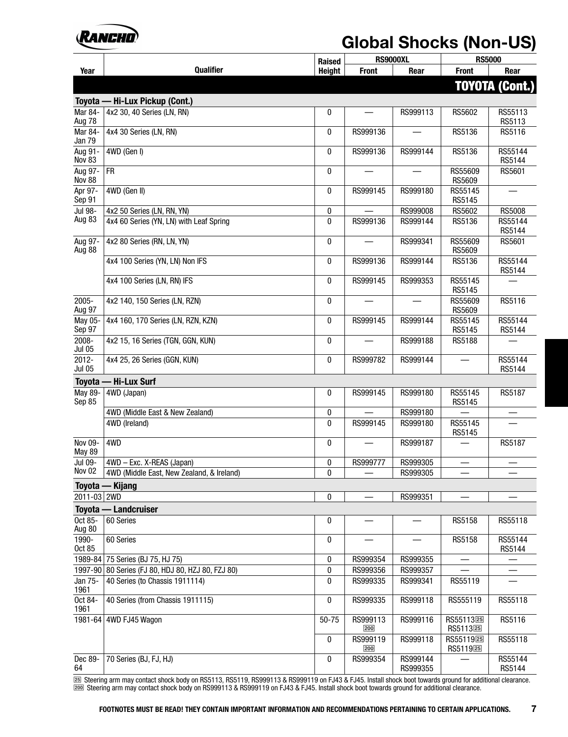

|                           |                                                   | Raised        | <b>RS9000XL</b> |                      | <b>RS5000</b>                                 |                       |
|---------------------------|---------------------------------------------------|---------------|-----------------|----------------------|-----------------------------------------------|-----------------------|
| Year                      | <b>Qualifier</b>                                  | <b>Height</b> | <b>Front</b>    | Rear                 | <b>Front</b>                                  | Rear                  |
|                           |                                                   |               |                 |                      |                                               | <b>TOYOTA (Cont.)</b> |
|                           | Toyota - Hi-Lux Pickup (Cont.)                    |               |                 |                      |                                               |                       |
| Mar 84-<br>Aug 78         | 4x2 30, 40 Series (LN, RN)                        | 0             |                 | RS999113             | RS5602                                        | RS55113<br>RS5113     |
| Mar 84-<br>Jan 79         | 4x4 30 Series (LN, RN)                            | 0             | RS999136        |                      | RS5136                                        | RS5116                |
| Aug 91-<br><b>Nov 83</b>  | 4WD (Gen I)                                       | 0             | RS999136        | RS999144             | RS5136                                        | RS55144<br>RS5144     |
| Aug 97-<br><b>Nov 88</b>  | $\overline{\text{FR}}$                            | 0             |                 |                      | RS55609<br>RS5609                             | RS5601                |
| Apr 97-<br>Sep 91         | 4WD (Gen II)                                      | 0             | RS999145        | RS999180             | RS55145<br>RS5145                             |                       |
| Jul 98-                   | 4x2 50 Series (LN, RN, YN)                        | 0             |                 | RS999008             | RS5602                                        | <b>RS5008</b>         |
| Aug 83                    | 4x4 60 Series (YN, LN) with Leaf Spring           | 0             | RS999136        | RS999144             | RS5136                                        | RS55144<br>RS5144     |
| Aug 97-<br>Aug 88         | 4x2 80 Series (RN, LN, YN)                        | 0             |                 | RS999341             | RS55609<br>RS5609                             | RS5601                |
|                           | 4x4 100 Series (YN, LN) Non IFS                   | 0             | RS999136        | RS999144             | RS5136                                        | RS55144<br>RS5144     |
|                           | 4x4 100 Series (LN, RN) IFS                       | 0             | RS999145        | RS999353             | RS55145<br>RS5145                             |                       |
| 2005-<br>Aug 97           | 4x2 140, 150 Series (LN, RZN)                     | 0             |                 |                      | RS55609<br>RS5609                             | RS5116                |
| May 05-<br>Sep 97         | 4x4 160, 170 Series (LN, RZN, KZN)                | 0             | RS999145        | RS999144             | RS55145<br>RS5145                             | RS55144<br>RS5144     |
| 2008-<br><b>Jul 05</b>    | 4x2 15, 16 Series (TGN, GGN, KUN)                 | 0             |                 | RS999188             | RS5188                                        |                       |
| $2012 -$<br><b>Jul 05</b> | 4x4 25, 26 Series (GGN, KUN)                      | 0             | RS999782        | RS999144             |                                               | RS55144<br>RS5144     |
| <b>Toyota</b>             | - Hi-Lux Surf                                     |               |                 |                      |                                               |                       |
| May 89-<br>Sep 85         | 4WD (Japan)                                       | 0             | RS999145        | RS999180             | RS55145<br>RS5145                             | <b>RS5187</b>         |
|                           | 4WD (Middle East & New Zealand)                   | 0             |                 | RS999180             |                                               |                       |
|                           | 4WD (Ireland)                                     | 0             | RS999145        | RS999180             | RS55145<br>RS5145                             |                       |
| Nov 09-<br><b>May 89</b>  | 4WD                                               | $\mathbf{0}$  |                 | RS999187             |                                               | RS5187                |
| Jul 09-                   | 4WD - Exc. X-REAS (Japan)                         | 0             | RS999777        | RS999305             | —                                             |                       |
| <b>Nov 02</b>             | 4WD (Middle East, New Zealand, & Ireland)         | 0             |                 | RS999305             |                                               |                       |
|                           | Toyota — Kijang                                   |               |                 |                      |                                               |                       |
| 2011-03 2WD               |                                                   | 0             |                 | RS999351             |                                               |                       |
| Oct 85-                   | Toyota - Landcruiser<br>60 Series                 | 0             |                 |                      | RS5158                                        | RS55118               |
| Aug 80<br>1990-<br>Oct 85 | 60 Series                                         | 0             |                 |                      | RS5158                                        | RS55144<br>RS5144     |
| 1989-84                   | 75 Series (BJ 75, HJ 75)                          | 0             | RS999354        | RS999355             |                                               |                       |
|                           | 1997-90 80 Series (FJ 80, HDJ 80, HZJ 80, FZJ 80) | 0             | RS999356        | RS999357             |                                               |                       |
| Jan 75-<br>1961           | 40 Series (to Chassis 1911114)                    | 0             | RS999335        | RS999341             | RS55119                                       |                       |
| Oct 84-<br>1961           | 40 Series (from Chassis 1911115)                  | 0             | RS999335        | RS999118             | RS555119                                      | RS55118               |
| $1981 - 64$               | 4WD FJ45 Wagon                                    | $50 - 75$     | RS999113<br>200 | RS999116             | RS55113 <sup>25</sup><br>RS5113 <sup>25</sup> | RS5116                |
|                           |                                                   | 0             | RS999119<br>200 | RS999118             | RS5511925<br>RS5119 <sup>25</sup>             | RS55118               |
| Dec 89-<br>64             | 70 Series (BJ, FJ, HJ)                            | 0             | RS999354        | RS999144<br>RS999355 |                                               | RS55144<br>RS5144     |

[º½] Steering arm may contact shock body on RS5113, RS5119, RS999113 & RS999119 on FJ43 & FJ45. Install shock boot towards ground for additional clearance. [º¸¸] Steering arm may contact shock body on RS999113 & RS999119 on FJ43 & FJ45. Install shock boot towards ground for additional clearance.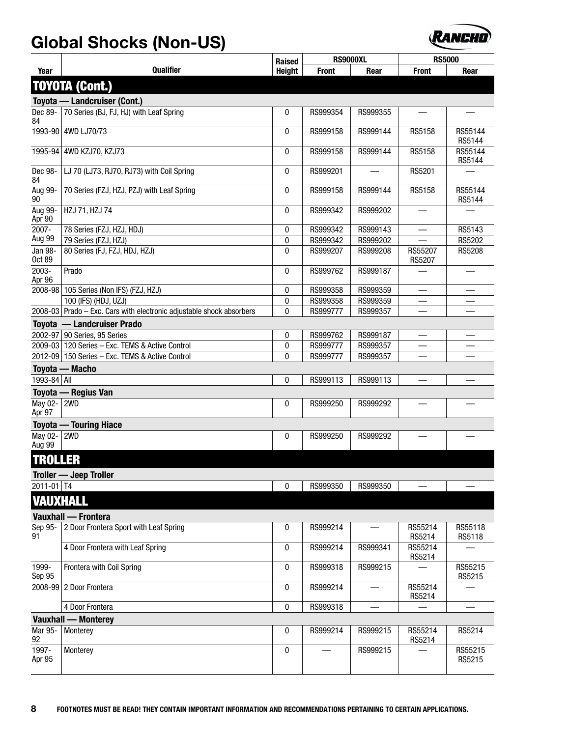

|                          |                                                                        | Raised        | <b>RS9000XL</b> |          | <b>RS5000</b>     |                   |
|--------------------------|------------------------------------------------------------------------|---------------|-----------------|----------|-------------------|-------------------|
| Year                     | <b>Qualifier</b>                                                       | <b>Height</b> | <b>Front</b>    | Rear     | <b>Front</b>      | Rear              |
|                          | <b>TOYOTA (Cont.)</b>                                                  |               |                 |          |                   |                   |
|                          | Toyota — Landcruiser (Cont.)                                           |               |                 |          |                   |                   |
| Dec 89-<br>84            | 70 Series (BJ, FJ, HJ) with Leaf Spring                                | 0             | RS999354        | RS999355 |                   |                   |
| 1993-90                  | 4WD LJ70/73                                                            | 0             | RS999158        | RS999144 | RS5158            | RS55144<br>RS5144 |
|                          | 1995-94 4WD KZJ70, KZJ73                                               | 0             | RS999158        | RS999144 | RS5158            | RS55144<br>RS5144 |
| Dec 98-<br>84            | LJ 70 (LJ73, RJ70, RJ73) with Coil Spring                              | 0             | RS999201        |          | RS5201            |                   |
| Aug 99-<br>90            | 70 Series (FZJ, HZJ, PZJ) with Leaf Spring                             | 0             | RS999158        | RS999144 | RS5158            | RS55144<br>RS5144 |
| Aug 99-<br>Apr 90        | HZJ 71, HZJ 74                                                         | 0             | RS999342        | RS999202 |                   |                   |
| 2007-                    | 78 Series (FZJ, HZJ, HDJ)                                              | 0             | RS999342        | RS999143 |                   | RS5143            |
| Aug 99                   | 79 Series (FZJ, HZJ)                                                   | 0             | RS999342        | RS999202 |                   | <b>RS5202</b>     |
| Jan 98-<br><b>Oct 89</b> | 80 Series (FJ, FZJ, HDJ, HZJ)                                          | 0             | RS999207        | RS999208 | RS55207<br>RS5207 | <b>RS5208</b>     |
| 2003-<br>Apr 96          | Prado                                                                  | 0             | RS999762        | RS999187 |                   |                   |
|                          | 2008-98 105 Series (Non IFS) (FZJ, HZJ)                                | 0             | RS999358        | RS999359 |                   |                   |
|                          | 100 (IFS) (HDJ, UZJ)                                                   | 0             | RS999358        | RS999359 |                   |                   |
|                          | $2008-03$ Prado – Exc. Cars with electronic adjustable shock absorbers | 0             | RS999777        | RS999357 |                   |                   |
|                          | Toyota - Landcruiser Prado                                             |               |                 |          |                   |                   |
|                          | 2002-97 90 Series, 95 Series                                           | 0             | RS999762        | RS999187 |                   |                   |
|                          | 2009-03 120 Series - Exc. TEMS & Active Control                        | 0             | RS999777        | RS999357 |                   |                   |
|                          | 2012-09 150 Series - Exc. TEMS & Active Control                        | 0             | RS999777        | RS999357 |                   |                   |
|                          | Toyota - Macho                                                         |               |                 |          |                   |                   |
| 1993-84 All              |                                                                        | 0             | RS999113        | RS999113 |                   |                   |
|                          | Toyota - Regius Van                                                    |               |                 |          |                   |                   |
| May 02-   2WD<br>Apr 97  |                                                                        | 0             | RS999250        | RS999292 |                   |                   |
|                          | <b>Toyota — Touring Hiace</b>                                          |               |                 |          |                   |                   |
| May 02-   2WD<br>Aug 99  |                                                                        | 0             | RS999250        | RS999292 |                   |                   |
| <b>TROLLER</b>           |                                                                        |               |                 |          |                   |                   |
|                          | <b>Troller — Jeep Troller</b>                                          |               |                 |          |                   |                   |
| $2011 - 01$ T4           |                                                                        | 0             | RS999350        | RS999350 |                   |                   |
| <b>VAUXHALL</b>          |                                                                        |               |                 |          |                   |                   |
|                          | <b>Vauxhall - Frontera</b>                                             |               |                 |          |                   |                   |
| Sep 95-<br>91            | 2 Door Frontera Sport with Leaf Spring                                 | 0             | RS999214        |          | RS55214<br>RS5214 | RS55118<br>RS5118 |
|                          | 4 Door Frontera with Leaf Spring                                       | 0             | RS999214        | RS999341 | RS55214<br>RS5214 |                   |
| 1999-<br>Sep 95          | Frontera with Coil Spring                                              | 0             | RS999318        | RS999215 |                   | RS55215<br>RS5215 |
|                          | 2008-99 2 Door Frontera                                                | 0             | RS999214        |          | RS55214<br>RS5214 |                   |
|                          | 4 Door Frontera                                                        | 0             | RS999318        |          |                   |                   |
|                          | <b>Vauxhall - Monterey</b>                                             |               |                 |          |                   |                   |
| Mar 95-<br>92            | Monterey                                                               | 0             | RS999214        | RS999215 | RS55214<br>RS5214 | RS5214            |
| 1997-<br>Apr 95          | Monterey                                                               | 0             |                 | RS999215 |                   | RS55215<br>RS5215 |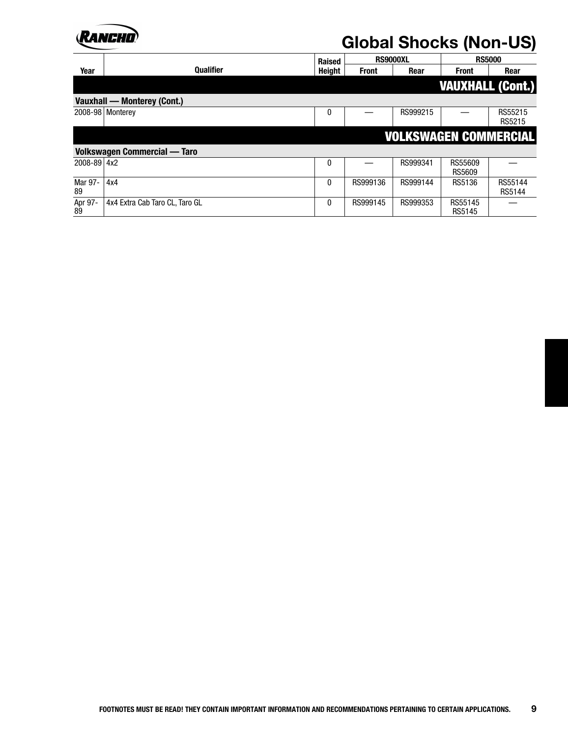

|               |                                     | <b>Raised</b>    | <b>RS9000XL</b> |          | <b>RS5000</b>                |                   |
|---------------|-------------------------------------|------------------|-----------------|----------|------------------------------|-------------------|
| Year          | <b>Qualifier</b>                    | <b>Height</b>    | <b>Front</b>    | Rear     | <b>Front</b>                 | Rear              |
|               |                                     |                  |                 |          | <b>VAUXHALL (Cont.)</b>      |                   |
|               | <b>Vauxhall - Monterey (Cont.)</b>  |                  |                 |          |                              |                   |
|               | 2008-98 Monterey                    | $\boldsymbol{0}$ |                 | RS999215 |                              | RS55215<br>RS5215 |
|               |                                     |                  |                 |          | <b>VOLKSWAGEN COMMERCIAL</b> |                   |
|               | <b>Volkswagen Commercial - Taro</b> |                  |                 |          |                              |                   |
| 2008-89 4x2   |                                     | $\boldsymbol{0}$ |                 | RS999341 | RS55609<br><b>RS5609</b>     |                   |
| Mar 97-<br>89 | 4x4                                 | $\boldsymbol{0}$ | RS999136        | RS999144 | RS5136                       | RS55144<br>RS5144 |
| Apr 97-<br>89 | 4x4 Extra Cab Taro CL, Taro GL      | 0                | RS999145        | RS999353 | RS55145<br>RS5145            |                   |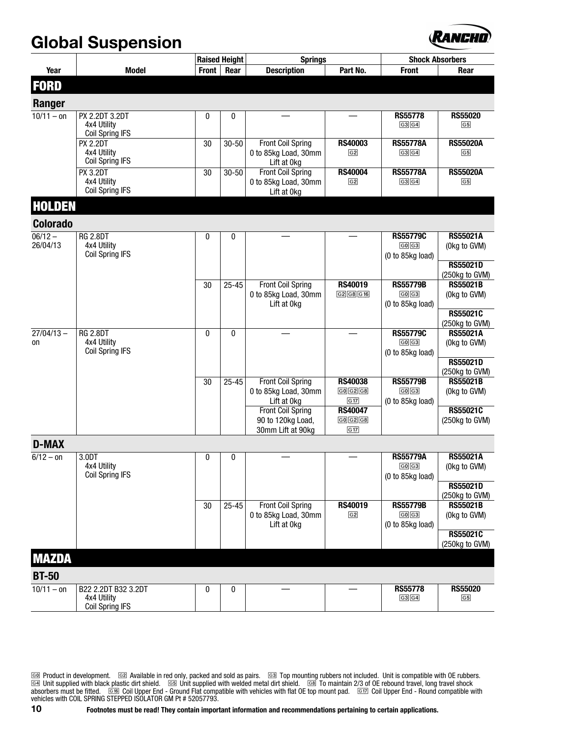#### **Global Suspension**



|                        |                                       |       | <b>Raised Height</b> | <b>Springs</b>                                   |                           |                           | <b>Shock Absorbers</b>          |
|------------------------|---------------------------------------|-------|----------------------|--------------------------------------------------|---------------------------|---------------------------|---------------------------------|
| Year                   | <b>Model</b>                          | Front | Rear                 | <b>Description</b>                               | Part No.                  | <b>Front</b>              | Rear                            |
| <b>FORD</b>            |                                       |       |                      |                                                  |                           |                           |                                 |
|                        |                                       |       |                      |                                                  |                           |                           |                                 |
| Ranger<br>$10/11 - on$ | PX 2.2DT 3.2DT                        |       |                      |                                                  |                           | <b>RS55778</b>            | <b>RS55020</b>                  |
|                        | 4x4 Utility                           | 0     | 0                    |                                                  |                           | G3G4                      | $\boxed{G5}$                    |
|                        | <b>Coil Spring IFS</b>                |       |                      |                                                  |                           |                           |                                 |
|                        | <b>PX 2.2DT</b>                       | 30    | $30 - 50$            | <b>Front Coil Spring</b>                         | <b>RS40003</b>            | <b>RS55778A</b>           | <b>RS55020A</b>                 |
|                        | 4x4 Utility<br><b>Coil Spring IFS</b> |       |                      | 0 to 85kg Load, 30mm<br>Lift at 0kg              | G2                        | G3[G4]                    | $\boxed{G5}$                    |
|                        | <b>PX 3.2DT</b>                       | 30    | $30 - 50$            | <b>Front Coil Spring</b>                         | <b>RS40004</b>            | <b>RS55778A</b>           | <b>RS55020A</b>                 |
|                        | 4x4 Utility                           |       |                      | 0 to 85kg Load, 30mm                             | G <sub>2</sub>            | G3G4                      | $\boxed{G5}$                    |
|                        | <b>Coil Spring IFS</b>                |       |                      | Lift at 0kg                                      |                           |                           |                                 |
| <b>HOLDEN</b>          |                                       |       |                      |                                                  |                           |                           |                                 |
| <b>Colorado</b>        |                                       |       |                      |                                                  |                           |                           |                                 |
| $06/12 -$              | <b>RG 2.8DT</b>                       | 0     | 0                    |                                                  |                           | <b>RS55779C</b>           | <b>RS55021A</b>                 |
| 26/04/13               | 4x4 Utility<br>Coil Spring IFS        |       |                      |                                                  |                           | G0G3                      | (Okg to GVM)                    |
|                        |                                       |       |                      |                                                  |                           | (0 to 85kg load)          | <b>RS55021D</b>                 |
|                        |                                       |       |                      |                                                  |                           |                           | (250kg to GVM)                  |
|                        |                                       | 30    | $25 - 45$            | <b>Front Coil Spring</b>                         | <b>RS40019</b>            | <b>RS55779B</b>           | <b>RS55021B</b>                 |
|                        |                                       |       |                      | 0 to 85kg Load, 30mm                             | G2 G8 G16                 | G0G3                      | (Okg to GVM)                    |
|                        |                                       |       |                      | Lift at 0kg                                      |                           | (0 to 85kg load)          | RS55021C                        |
|                        |                                       |       |                      |                                                  |                           |                           | (250kg to GVM)                  |
| $27/04/13 -$           | <b>RG 2.8DT</b>                       | 0     | $\mathbf{0}$         |                                                  |                           | <b>RS55779C</b>           | <b>RS55021A</b>                 |
| on                     | 4x4 Utility<br><b>Coil Spring IFS</b> |       |                      |                                                  |                           | G0 G3                     | (Okg to GVM)                    |
|                        |                                       |       |                      |                                                  |                           | (0 to 85kg load)          | <b>RS55021D</b>                 |
|                        |                                       |       |                      |                                                  |                           |                           | (250kg to GVM)                  |
|                        |                                       | 30    | $25 - 45$            | <b>Front Coil Spring</b>                         | <b>RS40038</b>            | <b>RS55779B</b>           | <b>RS55021B</b>                 |
|                        |                                       |       |                      | 0 to 85kg Load, 30mm<br>Lift at 0kg              | G0[G2]G8<br>G17           | G0 G3<br>(0 to 85kg load) | (Okg to GVM)                    |
|                        |                                       |       |                      | <b>Front Coil Spring</b>                         | <b>RS40047</b>            |                           | RS55021C                        |
|                        |                                       |       |                      | 90 to 120kg Load,                                | G0[G2]G8                  |                           | (250kg to GVM)                  |
|                        |                                       |       |                      | 30mm Lift at 90kg                                | G17                       |                           |                                 |
| <b>D-MAX</b>           |                                       |       |                      |                                                  |                           |                           |                                 |
| $6/12 - 0n$            | 3.0DT<br>4x4 Utility                  | 0     | 0                    |                                                  |                           | <b>RS55779A</b><br>G0[G3] | <b>RS55021A</b>                 |
|                        | Coil Spring IFS                       |       |                      |                                                  |                           | (0 to 85kg load)          | (Okg to GVM)                    |
|                        |                                       |       |                      |                                                  |                           |                           | <b>RS55021D</b>                 |
|                        |                                       |       |                      |                                                  |                           |                           | (250kg to GVM)                  |
|                        |                                       | 30    | $25 - 45$            | <b>Front Coil Spring</b><br>0 to 85kg Load, 30mm | RS40019<br>G <sub>2</sub> | <b>RS55779B</b><br>G0G3   | <b>RS55021B</b><br>(Okg to GVM) |
|                        |                                       |       |                      | Lift at 0kg                                      |                           | (0 to 85kg load)          |                                 |
|                        |                                       |       |                      |                                                  |                           |                           | <b>RS55021C</b>                 |
|                        |                                       |       |                      |                                                  |                           |                           | (250kg to GVM)                  |
| <b>MAZDA</b>           |                                       |       |                      |                                                  |                           |                           |                                 |
| <b>BT-50</b>           |                                       |       |                      |                                                  |                           |                           |                                 |
| $10/11 - on$           | B22 2.2DT B32 3.2DT                   | 0     | 0                    |                                                  |                           | <b>RS55778</b>            | <b>RS55020</b>                  |
|                        | 4x4 Utility<br><b>Coil Spring IFS</b> |       |                      |                                                  |                           | G3 G4                     | G5                              |

[G¸] Product in development. [Gº] Available in red only, packed and sold as pairs. [G»] Top mounting rubbers not included. Unit is compatible with OE rubbers. [G¼] Unit supplied with black plastic dirt shield. [G½] Unit supplied with welded metal dirt shield. [GÀ] To maintain 2/3 of OE rebound travel, long travel shock absorbers must be fitted. [G8]Coil Upper End - Ground Flat compatible with vehicles with flat OE top mount pad. [G17]Coil Upper End - Round compatible with vehicles with COIL SPRING STEPPED ISOLATOR GM Pt # 52057793.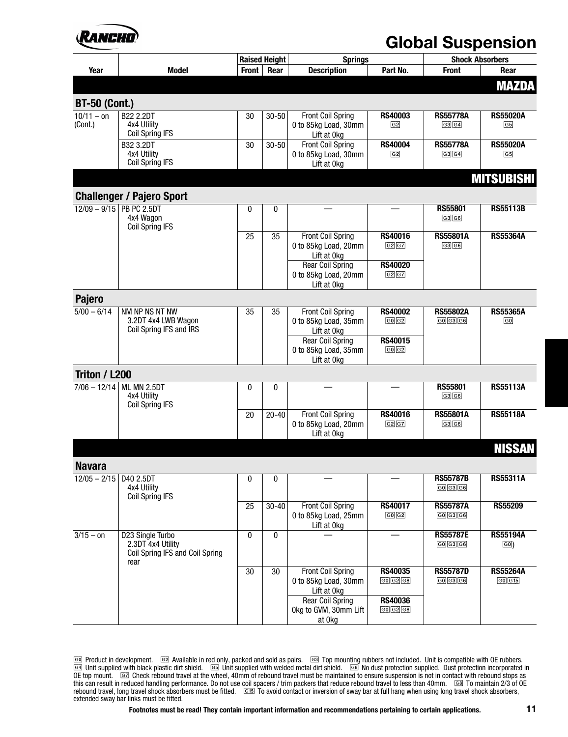## VANEHI

#### **Global Suspension**

|                            |                                                                                  |              | <b>Raised Height</b> | <b>Springs</b>                                                  |                                |                                                           | <b>Shock Absorbers</b>          |
|----------------------------|----------------------------------------------------------------------------------|--------------|----------------------|-----------------------------------------------------------------|--------------------------------|-----------------------------------------------------------|---------------------------------|
| Year                       | <b>Model</b>                                                                     | <b>Front</b> | Rear                 | <b>Description</b>                                              | Part No.                       | <b>Front</b>                                              | Rear                            |
|                            |                                                                                  |              |                      |                                                                 |                                |                                                           | <b>MAZDA</b>                    |
| <b>BT-50 (Cont.)</b>       |                                                                                  |              |                      |                                                                 |                                |                                                           |                                 |
| $10/11 - on$<br>(Cont.)    | <b>B22 2.2DT</b><br>4x4 Utility<br><b>Coil Spring IFS</b>                        | 30           | $30 - 50$            | <b>Front Coil Spring</b><br>0 to 85kg Load, 30mm<br>Lift at 0kg | <b>RS40003</b><br>$\sqrt{G2}$  | <b>RS55778A</b><br>G3 G4                                  | <b>RS55020A</b><br>$\boxed{G5}$ |
|                            | B32 3.2DT<br>4x4 Utility<br><b>Coil Spring IFS</b>                               | 30           | $30 - 50$            | <b>Front Coil Spring</b><br>0 to 85kg Load, 30mm<br>Lift at 0kg | <b>RS40004</b><br>$\boxed{G2}$ | <b>RS55778A</b><br>G3[G4]                                 | <b>RS55020A</b><br>$\boxed{G5}$ |
|                            |                                                                                  |              |                      |                                                                 |                                |                                                           | <b>MITSUBISHI</b>               |
|                            | <b>Challenger / Pajero Sport</b>                                                 |              |                      |                                                                 |                                |                                                           |                                 |
| $12/09 - 9/15$ PB PC 2.5DT | 4x4 Wagon<br><b>Coil Spring IFS</b>                                              | $\mathbf{0}$ | 0                    |                                                                 |                                | <b>RS55801</b><br>G3 G6                                   | <b>RS55113B</b>                 |
|                            |                                                                                  | 25           | 35                   | <b>Front Coil Spring</b><br>0 to 85kg Load, 20mm<br>Lift at 0kg | <b>RS40016</b><br>G2 G7        | <b>RS55801A</b><br>G3 G6                                  | <b>RS55364A</b>                 |
|                            |                                                                                  |              |                      | <b>Rear Coil Spring</b><br>0 to 85kg Load, 20mm<br>Lift at 0kg  | <b>RS40020</b><br>G2 G7        |                                                           |                                 |
| <b>Pajero</b>              |                                                                                  |              |                      |                                                                 |                                |                                                           |                                 |
| $\frac{1}{5/00 - 6}$ 14    | NM NP NS NT NW<br>3.2DT 4x4 LWB Wagon<br>Coil Spring IFS and IRS                 | 35           | 35                   | <b>Front Coil Spring</b><br>0 to 85kg Load, 35mm<br>Lift at 0kg | <b>RS40002</b><br>G0 G2        | <b>RS55802A</b><br>$\boxed{G0}$ $\boxed{G3}$ $\boxed{G6}$ | <b>RS55365A</b><br>$\boxed{60}$ |
|                            |                                                                                  |              |                      | <b>Rear Coil Spring</b><br>0 to 85kg Load, 35mm<br>Lift at 0kg  | <b>RS40015</b><br>G0G2         |                                                           |                                 |
| Triton / L200              |                                                                                  |              |                      |                                                                 |                                |                                                           |                                 |
|                            | 7/06 - 12/14 ML MN 2.5DT<br>4x4 Utility<br><b>Coil Spring IFS</b>                | $\mathbf{0}$ | 0                    |                                                                 |                                | <b>RS55801</b><br>G3 G6                                   | <b>RS55113A</b>                 |
|                            |                                                                                  | 20           | $20 - 40$            | <b>Front Coil Spring</b><br>0 to 85kg Load, 20mm<br>Lift at 0kg | <b>RS40016</b><br>G2G7         | <b>RS55801A</b><br>G3 G6                                  | <b>RS55118A</b>                 |
|                            |                                                                                  |              |                      |                                                                 |                                |                                                           | <b>NISSAN</b>                   |
| <b>Navara</b>              |                                                                                  |              |                      |                                                                 |                                |                                                           |                                 |
| $12/05 - 2/15$   D40 2.5DT | 4x4 Utility<br><b>Coil Spring IFS</b>                                            | 0            | 0                    |                                                                 |                                | <b>RS55787B</b><br>G0 G3 G6                               | <b>RS55311A</b>                 |
|                            |                                                                                  | 25           | $30 - 40$            | <b>Front Coil Spring</b><br>0 to 85kg Load, 25mm<br>Lift at 0kg | <b>RS40017</b><br>$G0$ $G2$    | <b>RS55787A</b><br>$G0$ $G3$ $G6$                         | <b>RS55209</b>                  |
| $3/15 - 0n$                | D23 Single Turbo<br>2.3DT 4x4 Utility<br>Coil Spring IFS and Coil Spring<br>rear | 0            | 0                    |                                                                 |                                | <b>RS55787E</b><br>G0[G3]G6                               | <b>RS55194A</b><br>$\boxed{60}$ |
|                            |                                                                                  | 30           | 30                   | <b>Front Coil Spring</b><br>0 to 85kg Load, 30mm<br>Lift at 0kg | <b>RS40035</b><br>G0[G2]G8     | <b>RS55787D</b><br>$G0$ $G3$ $G6$                         | <b>RS55264A</b><br>$G0$ $G15$   |
|                            |                                                                                  |              |                      | <b>Rear Coil Spring</b><br>Okg to GVM, 30mm Lift<br>at 0kg      | <b>RS40036</b><br>G0[G2]G8     |                                                           |                                 |

[G¸] Product in development. [Gº] Available in red only, packed and sold as pairs. [G»] Top mounting rubbers not included. Unit is compatible with OE rubbers. [G¼] Unit supplied with black plastic dirt shield. [G½] Unit supplied with welded metal dirt shield. [G¾] No dust protection supplied. Dust protection incorporated in OE top mount.  $\quad \text{G2}$  Check rebound travel at the wheel, 40mm of rebound travel must be maintained to ensure suspension is not in contact with rebound stops as this can result in reduced handling performance. Do not use coil spacers / trim packers that reduce rebound travel to less than 40mm.  $\quad \text{G8} \,$  To maintain 2/3 of OE rebound travel, long travel shock absorbers must be fitted. [G¹½] To avoid contact or inversion of sway bar at full hang when using long travel shock absorbers, extended sway bar links must be fitted.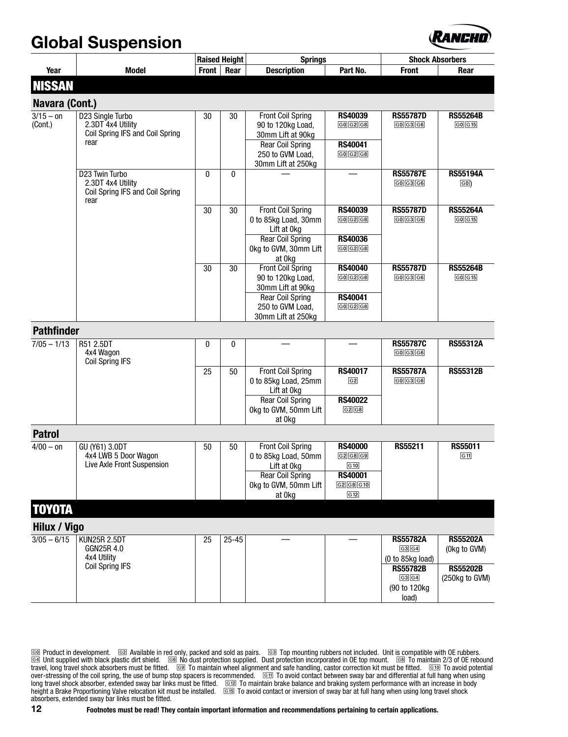#### **Global Suspension**



|                               |                                                    |       | <b>Raised Height</b> | <b>Springs</b>                         |                          | <b>Shock Absorbers</b>                 |                 |
|-------------------------------|----------------------------------------------------|-------|----------------------|----------------------------------------|--------------------------|----------------------------------------|-----------------|
| Year                          | <b>Model</b>                                       | Front | Rear                 | <b>Description</b>                     | Part No.                 | <b>Front</b>                           | Rear            |
| <b>NISSAN</b>                 |                                                    |       |                      |                                        |                          |                                        |                 |
|                               |                                                    |       |                      |                                        |                          |                                        |                 |
| Navara (Cont.)<br>$3/15 - 0n$ |                                                    | 30    | 30                   | <b>Front Coil Spring</b>               | <b>RS40039</b>           | <b>RS55787D</b>                        | <b>RS55264B</b> |
| (Cont.)                       | D23 Single Turbo<br>2.3DT 4x4 Utility              |       |                      | 90 to 120kg Load,                      | G0[G2]G8                 | G0[G3]G6                               | $G0$ $G15$      |
|                               | Coil Spring IFS and Coil Spring                    |       |                      | 30mm Lift at 90kg                      |                          |                                        |                 |
|                               | rear                                               |       |                      | <b>Rear Coil Spring</b>                | <b>RS40041</b>           |                                        |                 |
|                               |                                                    |       |                      | 250 to GVM Load,                       | G0 G2 G8                 |                                        |                 |
|                               | D23 Twin Turbo                                     | 0     | $\mathbf{0}$         | 30mm Lift at 250kg                     |                          | <b>RS55787E</b>                        | <b>RS55194A</b> |
|                               | 2.3DT 4x4 Utility                                  |       |                      |                                        |                          | $G0$ $G3$ $G6$                         | $\boxed{60}$    |
|                               | Coil Spring IFS and Coil Spring                    |       |                      |                                        |                          |                                        |                 |
|                               | rear                                               | 30    | 30                   | <b>Front Coil Spring</b>               | <b>RS40039</b>           | <b>RS55787D</b>                        | <b>RS55264A</b> |
|                               |                                                    |       |                      | 0 to 85kg Load, 30mm                   | G0[G2]G8                 | G0[G3]G6                               | G0G15           |
|                               |                                                    |       |                      | Lift at 0kg                            |                          |                                        |                 |
|                               |                                                    |       |                      | <b>Rear Coil Spring</b>                | <b>RS40036</b>           |                                        |                 |
|                               |                                                    |       |                      | Okg to GVM, 30mm Lift                  | G0[G2]G8                 |                                        |                 |
|                               |                                                    | 30    | 30                   | at 0kg<br><b>Front Coil Spring</b>     | <b>RS40040</b>           | <b>RS55787D</b>                        | <b>RS55264B</b> |
|                               |                                                    |       |                      | 90 to 120kg Load,                      | G0 G2 G8                 | $\boxed{G0}$ $\boxed{G3}$ $\boxed{G6}$ | G0 G15          |
|                               |                                                    |       |                      | 30mm Lift at 90kg                      |                          |                                        |                 |
|                               |                                                    |       |                      | <b>Rear Coil Spring</b>                | <b>RS40041</b>           |                                        |                 |
|                               |                                                    |       |                      | 250 to GVM Load,<br>30mm Lift at 250kg | GO G2 G8                 |                                        |                 |
| <b>Pathfinder</b>             |                                                    |       |                      |                                        |                          |                                        |                 |
|                               |                                                    |       |                      |                                        |                          | <b>RS55787C</b>                        |                 |
| $7/05 - 1/13$                 | R51 2.5DT<br>4x4 Wagon                             | 0     | 0                    |                                        |                          | $G0$ $G3$ $G6$                         | <b>RS55312A</b> |
|                               | <b>Coil Spring IFS</b>                             |       |                      |                                        |                          |                                        |                 |
|                               |                                                    | 25    | 50                   | <b>Front Coil Spring</b>               | <b>RS40017</b>           | <b>RS55787A</b>                        | <b>RS55312B</b> |
|                               |                                                    |       |                      | 0 to 85kg Load, 25mm<br>Lift at 0kg    | $\sqrt{G2}$              | G0 G3 G6                               |                 |
|                               |                                                    |       |                      | <b>Rear Coil Spring</b>                | <b>RS40022</b>           |                                        |                 |
|                               |                                                    |       |                      | Okg to GVM, 50mm Lift                  | G2 G8                    |                                        |                 |
|                               |                                                    |       |                      | at 0kg                                 |                          |                                        |                 |
| <b>Patrol</b>                 |                                                    |       |                      |                                        |                          |                                        |                 |
| $4/00 - 0n$                   | GU (Y61) 3.0DT                                     | 50    | 50                   | <b>Front Coil Spring</b>               | <b>RS40000</b>           | RS55211                                | RS55011         |
|                               | 4x4 LWB 5 Door Wagon<br>Live Axle Front Suspension |       |                      | 0 to 85kg Load, 50mm<br>Lift at 0kg    | G2 G8 G9<br>$\sqrt{610}$ |                                        | G11             |
|                               |                                                    |       |                      | <b>Rear Coil Spring</b>                | <b>RS40001</b>           |                                        |                 |
|                               |                                                    |       |                      | Okg to GVM, 50mm Lift                  | G2 G8 G10                |                                        |                 |
|                               |                                                    |       |                      | at 0kg                                 | G12                      |                                        |                 |
| <b>TOYOTA</b>                 |                                                    |       |                      |                                        |                          |                                        |                 |
| Hilux / Vigo                  |                                                    |       |                      |                                        |                          |                                        |                 |
| $3/05 - 6/15$                 | <b>KUN25R 2.5DT</b>                                | 25    | $25 - 45$            |                                        |                          | <b>RS55782A</b>                        | <b>RS55202A</b> |
|                               | GGN25R 4.0                                         |       |                      |                                        |                          | G3 G4                                  | (Okg to GVM)    |
|                               | 4x4 Utility<br><b>Coil Spring IFS</b>              |       |                      |                                        |                          | (0 to 85kg load)<br><b>RS55782B</b>    | <b>RS55202B</b> |
|                               |                                                    |       |                      |                                        |                          | G3 G4                                  | (250kg to GVM)  |
|                               |                                                    |       |                      |                                        |                          | (90 to 120kg                           |                 |
|                               |                                                    |       |                      |                                        |                          | load)                                  |                 |

[G¸] Product in development. [Gº] Available in red only, packed and sold as pairs. [G»] Top mounting rubbers not included. Unit is compatible with OE rubbers. [G¼] Unit supplied with black plastic dirt shield. [G¾] No dust protection supplied. Dust protection incorporated in OE top mount. [GÀ] To maintain 2/3 of OE rebound travel, long travel shock absorbers must be fitted. De To maintain wheel alignment and safe handling, castor correction kit must be fitted. Detro To avoid potential over-stressing of the coil spring, the use of bump stop spacers is recommended.  $\quad \text{GII}$  To avoid contact between sway bar and differential at full hang when using long travel shock absorber, extended sway bar links must be fitted.  $\quad \text{G12} \,$  To maintain brake balance and braking system performance with an increase in body height a Brake Proportioning Valve relocation kit must be installed.  $\quad \text{G5B} \,$  To avoid contact or inversion of sway bar at full hang when using long travel shock absorbers, extended sway bar links must be fitted.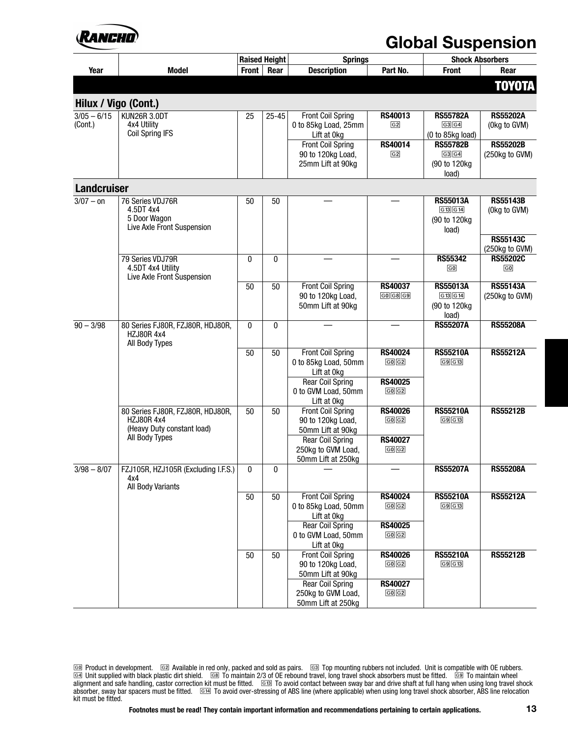## KANAHI

#### **Global Suspension**

|                          |                                                                                                       | <b>Raised Height</b> |           | <b>Springs</b>                                   |                                | <b>Shock Absorbers</b>    |                                 |
|--------------------------|-------------------------------------------------------------------------------------------------------|----------------------|-----------|--------------------------------------------------|--------------------------------|---------------------------|---------------------------------|
| Year                     | <b>Model</b>                                                                                          | <b>Front</b>         | Rear      | <b>Description</b>                               | Part No.                       | <b>Front</b>              | Rear                            |
|                          |                                                                                                       |                      |           |                                                  |                                |                           | TOYOTA                          |
|                          |                                                                                                       |                      |           |                                                  |                                |                           |                                 |
| Hilux / Vigo (Cont.)     |                                                                                                       |                      |           |                                                  |                                |                           |                                 |
| $3/05 - 6/15$<br>(Cont.) | KUN26R 3.0DT<br>4x4 Utility                                                                           | 25                   | $25 - 45$ | <b>Front Coil Spring</b><br>0 to 85kg Load, 25mm | <b>RS40013</b><br>$\boxed{G2}$ | <b>RS55782A</b><br>G3 G4  | <b>RS55202A</b><br>(Okg to GVM) |
|                          | <b>Coil Spring IFS</b>                                                                                |                      |           | Lift at 0kg                                      |                                | (0 to 85kg load)          |                                 |
|                          |                                                                                                       |                      |           | <b>Front Coil Spring</b>                         | RS40014                        | <b>RS55782B</b>           | <b>RS55202B</b>                 |
|                          |                                                                                                       |                      |           | 90 to 120kg Load,                                | $\boxed{G2}$                   | G3 G4                     | (250kg to GVM)                  |
|                          |                                                                                                       |                      |           | 25mm Lift at 90kg                                |                                | (90 to 120kg)             |                                 |
|                          |                                                                                                       |                      |           |                                                  |                                | load)                     |                                 |
| <b>Landcruiser</b>       |                                                                                                       |                      |           |                                                  |                                |                           |                                 |
| $3/07 - 0n$              | 76 Series VDJ76R                                                                                      | 50                   | 50        |                                                  |                                | <b>RS55013A</b>           | <b>RS55143B</b>                 |
|                          | 4.5DT 4x4<br>5 Door Wagon                                                                             |                      |           |                                                  |                                | G13 G14<br>(90 to 120kg   | (Okg to GVM)                    |
|                          | Live Axle Front Suspension                                                                            |                      |           |                                                  |                                | load)                     |                                 |
|                          |                                                                                                       |                      |           |                                                  |                                |                           | <b>RS55143C</b>                 |
|                          |                                                                                                       |                      |           |                                                  |                                |                           | (250kg to GVM)                  |
|                          | 79 Series VDJ79R                                                                                      | $\mathbf{0}$         | 0         |                                                  |                                | <b>RS55342</b>            | <b>RS55202C</b>                 |
|                          | 4.5DT 4x4 Utility<br>Live Axle Front Suspension                                                       |                      |           |                                                  |                                | $\boxed{G0}$              | $\boxed{60}$                    |
|                          |                                                                                                       | 50                   | 50        | <b>Front Coil Spring</b>                         | <b>RS40037</b>                 | <b>RS55013A</b>           | <b>RS55143A</b>                 |
|                          |                                                                                                       |                      |           | 90 to 120kg Load,                                | G0[G8]G9                       | G13 G14                   | (250kg to GVM)                  |
|                          |                                                                                                       |                      |           | 50mm Lift at 90kg                                |                                | (90 to 120kg              |                                 |
|                          |                                                                                                       |                      |           |                                                  |                                | load)<br><b>RS55207A</b>  | <b>RS55208A</b>                 |
| $90 - 3/98$              | 80 Series FJ80R, FZJ80R, HDJ80R,<br><b>HZJ80R4x4</b>                                                  | $\mathbf{0}$         | 0         |                                                  |                                |                           |                                 |
|                          | All Body Types                                                                                        |                      |           |                                                  |                                |                           |                                 |
|                          |                                                                                                       | 50                   | 50        | <b>Front Coil Spring</b>                         | <b>RS40024</b>                 | <b>RS55210A</b><br>G9 G13 | <b>RS55212A</b>                 |
|                          |                                                                                                       |                      |           | 0 to 85kg Load, 50mm                             | G0 G2                          |                           |                                 |
|                          |                                                                                                       |                      |           | Lift at 0kg<br><b>Rear Coil Spring</b>           | <b>RS40025</b>                 |                           |                                 |
|                          |                                                                                                       |                      |           | 0 to GVM Load, 50mm                              | G0 G2                          |                           |                                 |
|                          |                                                                                                       |                      |           | Lift at 0kg                                      |                                |                           |                                 |
|                          | 80 Series FJ80R, FZJ80R, HDJ80R,<br><b>HZJ80R 4x4</b><br>(Heavy Duty constant load)<br>All Body Types | 50                   | 50        | <b>Front Coil Spring</b>                         | <b>RS40026</b>                 | <b>RS55210A</b><br>G9 G13 | <b>RS55212B</b>                 |
|                          |                                                                                                       |                      |           | 90 to 120kg Load,                                | G0 G2                          |                           |                                 |
|                          |                                                                                                       |                      |           | 50mm Lift at 90kg<br><b>Rear Coil Spring</b>     | <b>RS40027</b>                 |                           |                                 |
|                          |                                                                                                       |                      |           | 250kg to GVM Load,                               | G0G2                           |                           |                                 |
|                          |                                                                                                       |                      |           | 50mm Lift at 250kg                               |                                |                           |                                 |
| $3/98 - 8/07$            | FZJ105R, HZJ105R (Excluding I.F.S.)                                                                   | 0                    | 0         |                                                  |                                | <b>RS55207A</b>           | <b>RS55208A</b>                 |
|                          | 4х4                                                                                                   |                      |           |                                                  |                                |                           |                                 |
|                          | All Body Variants                                                                                     | 50                   | 50        | <b>Front Coil Spring</b>                         | <b>RS40024</b>                 | <b>RS55210A</b>           | <b>RS55212A</b>                 |
|                          |                                                                                                       |                      |           | 0 to 85kg Load, 50mm                             | G0G2                           | G9 G13                    |                                 |
|                          |                                                                                                       |                      |           | Lift at 0kg                                      |                                |                           |                                 |
|                          |                                                                                                       |                      |           | <b>Rear Coil Spring</b>                          | <b>RS40025</b>                 |                           |                                 |
|                          |                                                                                                       |                      |           | 0 to GVM Load, 50mm                              | G0 G2                          |                           |                                 |
|                          |                                                                                                       | 50                   | 50        | Lift at 0kg<br><b>Front Coil Spring</b>          | <b>RS40026</b>                 | <b>RS55210A</b>           | <b>RS55212B</b>                 |
|                          |                                                                                                       |                      |           | 90 to 120kg Load,                                | $GO$ $G2$                      | G9 G13                    |                                 |
|                          |                                                                                                       |                      |           | 50mm Lift at 90kg                                |                                |                           |                                 |
|                          |                                                                                                       |                      |           | <b>Rear Coil Spring</b>                          | <b>RS40027</b>                 |                           |                                 |
|                          |                                                                                                       |                      |           | 250kg to GVM Load,                               | G0G2                           |                           |                                 |
|                          |                                                                                                       |                      |           | 50mm Lift at 250kg                               |                                |                           |                                 |

<sup>[</sup>G¸] Product in development. [Gº] Available in red only, packed and sold as pairs. [G»] Top mounting rubbers not included. Unit is compatible with OE rubbers. [G¼] Unit supplied with black plastic dirt shield. [GÀ] To maintain 2/3 of OE rebound travel, long travel shock absorbers must be fitted. [GÁ] To maintain wheel alignment and safe handling, castor correction kit must be fitted. [G¹»] To avoid contact between sway bar and drive shaft at full hang when using long travel shock absorber, sway bar spacers must be fitted.  $\;\;\overline{\text{G14}}\;\;\text{T0}$  avoid over-stressing of ABS line (where applicable) when using long travel shock absorber, ABS line relocation kit must be fitted.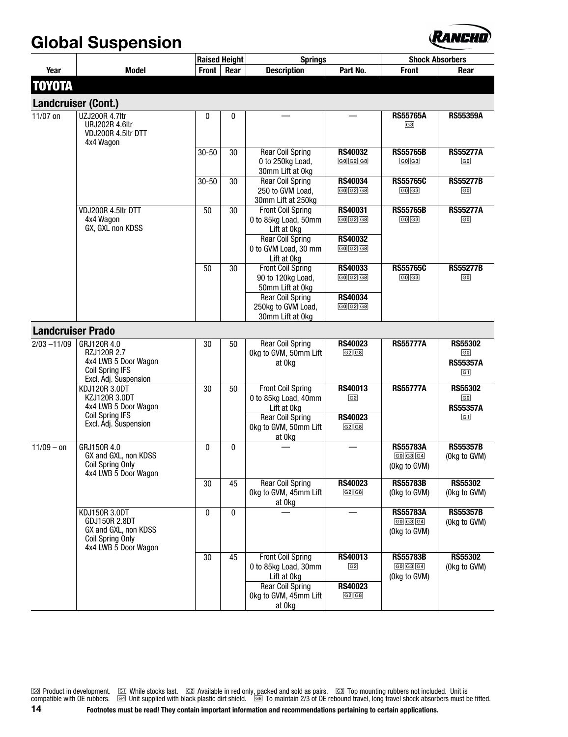#### **Global Suspension**



|                          |                                                                                                                  |              | <b>Raised Height</b> | <b>Springs</b>                                                    |                                                          | <b>Shock Absorbers</b>                                                    |                                                                  |
|--------------------------|------------------------------------------------------------------------------------------------------------------|--------------|----------------------|-------------------------------------------------------------------|----------------------------------------------------------|---------------------------------------------------------------------------|------------------------------------------------------------------|
| Year                     | <b>Model</b>                                                                                                     | <b>Front</b> | Rear                 | <b>Description</b>                                                | Part No.                                                 | <b>Front</b>                                                              | Rear                                                             |
| <b>TOYOTA</b>            |                                                                                                                  |              |                      |                                                                   |                                                          |                                                                           |                                                                  |
|                          |                                                                                                                  |              |                      |                                                                   |                                                          |                                                                           |                                                                  |
| Landcruiser (Cont.)      |                                                                                                                  |              |                      |                                                                   |                                                          | <b>RS55765A</b>                                                           |                                                                  |
| 11/07 on                 | UZJ200R 4.7ltr<br><b>URJ202R 4.6ltr</b><br>VDJ200R 4.5ltr DTT<br>4x4 Wagon                                       | 0            | $\mathbf{0}$         |                                                                   |                                                          | $\boxed{G3}$                                                              | <b>RS55359A</b>                                                  |
|                          |                                                                                                                  | $30 - 50$    | 30                   | <b>Rear Coil Spring</b><br>0 to 250kg Load,<br>30mm Lift at 0kg   | <b>RS40032</b><br>G0 G2 G8                               | <b>RS55765B</b><br>G0 G3                                                  | <b>RS55277A</b><br>$\boxed{60}$                                  |
|                          |                                                                                                                  | $30 - 50$    | 30                   | <b>Rear Coil Spring</b><br>250 to GVM Load,<br>30mm Lift at 250kg | <b>RS40034</b><br>$\boxed{G0}$ $\boxed{G2}$ $\boxed{G8}$ | <b>RS55765C</b><br>G0G3                                                   | <b>RS55277B</b><br>$\boxed{G0}$                                  |
|                          | VDJ200R 4.5ltr DTT<br>4x4 Wagon<br>GX, GXL non KDSS                                                              | 50           | 30                   | <b>Front Coil Spring</b><br>0 to 85kg Load, 50mm<br>Lift at 0kg   | <b>RS40031</b><br>G0[G2]G8                               | <b>RS55765B</b><br>G0G3                                                   | <b>RS55277A</b><br>$\boxed{60}$                                  |
|                          |                                                                                                                  |              |                      | <b>Rear Coil Spring</b><br>0 to GVM Load, 30 mm<br>Lift at 0kg    | <b>RS40032</b><br>G0[G2]G8                               |                                                                           |                                                                  |
|                          |                                                                                                                  | 50           | 30                   | <b>Front Coil Spring</b><br>90 to 120kg Load,<br>50mm Lift at 0kg | <b>RS40033</b><br>$\boxed{G0}$ $\boxed{G2}$ $\boxed{G8}$ | <b>RS55765C</b><br>G0[G3]                                                 | <b>RS55277B</b><br>$\boxed{60}$                                  |
|                          |                                                                                                                  |              |                      | <b>Rear Coil Spring</b><br>250kg to GVM Load,<br>30mm Lift at 0kg | <b>RS40034</b><br>G0[G2]G8                               |                                                                           |                                                                  |
| <b>Landcruiser Prado</b> |                                                                                                                  |              |                      |                                                                   |                                                          |                                                                           |                                                                  |
| $2/03 - 11/09$           | GRJ120R 4.0<br>RZJ120R 2.7<br>4x4 LWB 5 Door Wagon<br><b>Coil Spring IFS</b><br>Excl. Adj. Suspension            | 30           | 50                   | <b>Rear Coil Spring</b><br>Okg to GVM, 50mm Lift<br>at 0kg        | <b>RS40023</b><br>G2G8                                   | <b>RS55777A</b>                                                           | <b>RS55302</b><br>$\boxed{G0}$<br><b>RS55357A</b><br>$\sqrt{G1}$ |
|                          | KDJ120R 3.0DT<br>KZJ120R 3.0DT<br>4x4 LWB 5 Door Wagon<br><b>Coil Spring IFS</b>                                 | 30           | 50                   | <b>Front Coil Spring</b><br>0 to 85kg Load, 40mm<br>Lift at 0kg   | <b>RS40013</b><br>$\boxed{G2}$                           | <b>RS55777A</b>                                                           | <b>RS55302</b><br>$\boxed{G0}$<br><b>RS55357A</b>                |
|                          | Excl. Adj. Suspension                                                                                            |              |                      | <b>Rear Coil Spring</b><br>Okg to GVM, 50mm Lift<br>at 0kg        | <b>RS40023</b><br>G2G8                                   |                                                                           | $\sqrt{G1}$                                                      |
| $11/09 - 0n$             | GRJ150R 4.0<br>GX and GXL, non KDSS<br><b>Coil Spring Only</b><br>4x4 LWB 5 Door Wagon                           | 0            | $\mathbf{0}$         |                                                                   | $\overline{\phantom{a}}$                                 | <b>RS55783A</b><br>$\boxed{G0}$ $\boxed{G3}$ $\boxed{G4}$<br>(Okg to GVM) | <b>RS55357B</b><br>(Okg to GVM)                                  |
|                          |                                                                                                                  | 30           | 45                   | <b>Rear Coil Spring</b><br>Okg to GVM, 45mm Lift<br>at 0kg        | <b>RS40023</b><br>G2G8                                   | <b>RS55783B</b><br>(Okg to GVM)                                           | <b>RS55302</b><br>(Okg to GVM)                                   |
|                          | KDJ150R 3.0DT<br><b>GDJ150R 2.8DT</b><br>GX and GXL, non KDSS<br><b>Coil Spring Only</b><br>4x4 LWB 5 Door Wagon | $\mathbf{0}$ | 0                    |                                                                   |                                                          | <b>RS55783A</b><br>G0 G3 G4<br>(Okg to GVM)                               | <b>RS55357B</b><br>(Okg to GVM)                                  |
|                          |                                                                                                                  | 30           | 45                   | <b>Front Coil Spring</b><br>0 to 85kg Load, 30mm<br>Lift at 0kg   | <b>RS40013</b><br>G2                                     | <b>RS55783B</b><br>G0 G3 G4<br>(Okg to GVM)                               | <b>RS55302</b><br>(Okg to GVM)                                   |
|                          |                                                                                                                  |              |                      | <b>Rear Coil Spring</b><br>Okg to GVM, 45mm Lift<br>at 0kg        | <b>RS40023</b><br>G2G8                                   |                                                                           |                                                                  |

[G¸] Product in development. [G¹] While stocks last. [Gº] Available in red only, packed and sold as pairs. [G»] Top mounting rubbers not included. Unit is compatible with OE rubbers. [G4] Unit supplied with black plastic dirt shield. [G8] To maintain 2/3 of OE rebound travel, long travel shock absorbers must be fitted. **14 Footnotes must be read! They contain important information and recommendations pertaining to certain applications.**